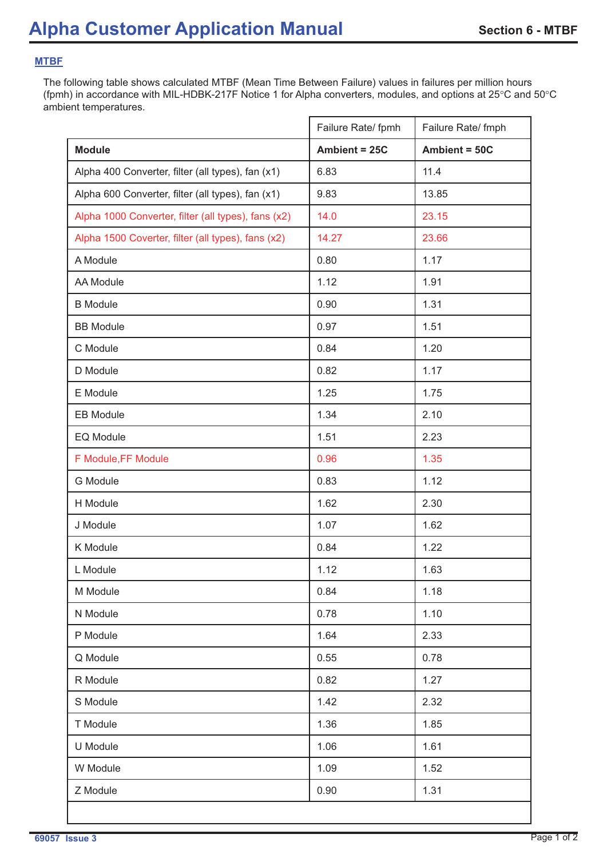## **MTBF**

The following table shows calculated MTBF (Mean Time Between Failure) values in failures per million hours (fpmh) in accordance with MIL-HDBK-217F Notice 1 for Alpha converters, modules, and options at 25°C and 50°C ambient temperatures.

|                                                     | Failure Rate/ fpmh | Failure Rate/ fmph |
|-----------------------------------------------------|--------------------|--------------------|
| <b>Module</b>                                       | Ambient = 25C      | Ambient = 50C      |
| Alpha 400 Converter, filter (all types), fan (x1)   | 6.83               | 11.4               |
| Alpha 600 Converter, filter (all types), fan (x1)   | 9.83               | 13.85              |
| Alpha 1000 Converter, filter (all types), fans (x2) | 14.0               | 23.15              |
| Alpha 1500 Coverter, filter (all types), fans (x2)  | 14.27              | 23.66              |
| A Module                                            | 0.80               | 1.17               |
| <b>AA Module</b>                                    | 1.12               | 1.91               |
| <b>B</b> Module                                     | 0.90               | 1.31               |
| <b>BB Module</b>                                    | 0.97               | 1.51               |
| C Module                                            | 0.84               | 1.20               |
| D Module                                            | 0.82               | 1.17               |
| E Module                                            | 1.25               | 1.75               |
| <b>EB Module</b>                                    | 1.34               | 2.10               |
| EQ Module                                           | 1.51               | 2.23               |
| F Module, FF Module                                 | 0.96               | 1.35               |
| <b>G</b> Module                                     | 0.83               | 1.12               |
| H Module                                            | 1.62               | 2.30               |
| J Module                                            | 1.07               | 1.62               |
| K Module                                            | 0.84               | 1.22               |
| L Module                                            | 1.12               | 1.63               |
| M Module                                            | 0.84               | 1.18               |
| N Module                                            | 0.78               | 1.10               |
| P Module                                            | 1.64               | 2.33               |
| Q Module                                            | 0.55               | 0.78               |
| R Module                                            | 0.82               | 1.27               |
| S Module                                            | 1.42               | 2.32               |
| T Module                                            | 1.36               | 1.85               |
| U Module                                            | 1.06               | 1.61               |
| W Module                                            | 1.09               | 1.52               |
| Z Module                                            | 0.90               | 1.31               |